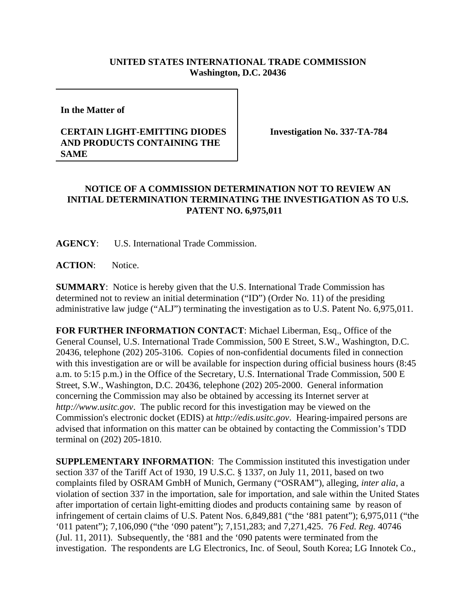## **UNITED STATES INTERNATIONAL TRADE COMMISSION Washington, D.C. 20436**

**In the Matter of** 

## **CERTAIN LIGHT-EMITTING DIODES AND PRODUCTS CONTAINING THE SAME**

**Investigation No. 337-TA-784**

## **NOTICE OF A COMMISSION DETERMINATION NOT TO REVIEW AN INITIAL DETERMINATION TERMINATING THE INVESTIGATION AS TO U.S. PATENT NO. 6,975,011**

**AGENCY**: U.S. International Trade Commission.

**ACTION**: Notice.

**SUMMARY**: Notice is hereby given that the U.S. International Trade Commission has determined not to review an initial determination ("ID") (Order No. 11) of the presiding administrative law judge ("ALJ") terminating the investigation as to U.S. Patent No. 6,975,011.

**FOR FURTHER INFORMATION CONTACT**: Michael Liberman, Esq., Office of the General Counsel, U.S. International Trade Commission, 500 E Street, S.W., Washington, D.C. 20436, telephone (202) 205-3106. Copies of non-confidential documents filed in connection with this investigation are or will be available for inspection during official business hours (8:45 a.m. to 5:15 p.m.) in the Office of the Secretary, U.S. International Trade Commission, 500 E Street, S.W., Washington, D.C. 20436, telephone (202) 205-2000. General information concerning the Commission may also be obtained by accessing its Internet server at *http://www.usitc.gov*. The public record for this investigation may be viewed on the Commission's electronic docket (EDIS) at *http://edis.usitc.gov*. Hearing-impaired persons are advised that information on this matter can be obtained by contacting the Commission's TDD terminal on (202) 205-1810.

**SUPPLEMENTARY INFORMATION**: The Commission instituted this investigation under section 337 of the Tariff Act of 1930, 19 U.S.C. § 1337, on July 11, 2011, based on two complaints filed by OSRAM GmbH of Munich, Germany ("OSRAM"), alleging, *inter alia*, a violation of section 337 in the importation, sale for importation, and sale within the United States after importation of certain light-emitting diodes and products containing same by reason of infringement of certain claims of U.S. Patent Nos. 6,849,881 ("the '881 patent"); 6,975,011 ("the '011 patent"); 7,106,090 ("the '090 patent"); 7,151,283; and 7,271,425. 76 *Fed. Reg.* 40746 (Jul. 11, 2011). Subsequently, the '881 and the '090 patents were terminated from the investigation. The respondents are LG Electronics, Inc. of Seoul, South Korea; LG Innotek Co.,